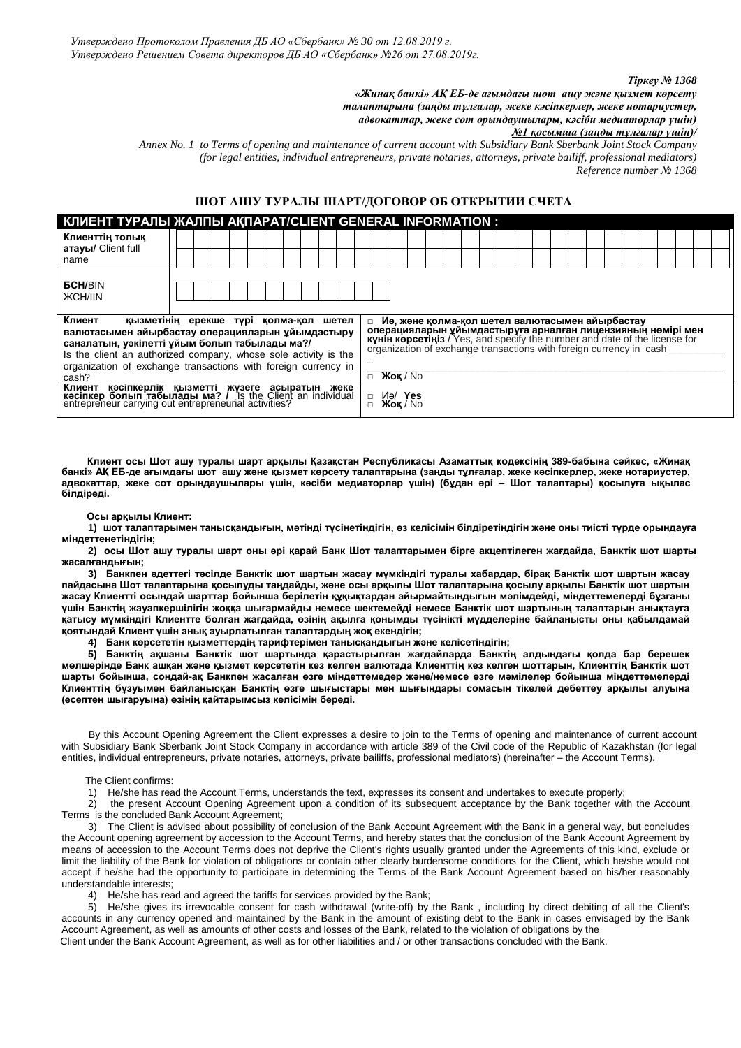#### *Тіркеу № 1368*

*«Жинақ банкі» АҚ ЕБ-де ағымдағы шот ашу және қызмет көрсету талаптарына (заңды тұлғалар, жеке кәсіпкерлер, жеке нотариустер, адвокаттар, жеке сот орындаушылары, кәсіби медиаторлар үшін)* 

*№1 қосымша (заңды тұлғалар үшін)/*

*Annex No. 1 to Terms of opening and maintenance of current account with Subsidiary Bank Sberbank Joint Stock Company (for legal entities, individual entrepreneurs, private notaries, attorneys, private bailiff, professional mediators) Reference number № 1368* 

### **ШОТ АШУ ТУРАЛЫ ШАРТ/ДОГОВОР ОБ ОТКРЫТИИ СЧЕТА**

| <b>КЛИЕНТ ТУРАЛЫ ЖАЛПЫ АҚПАРАТ/CLIENT GENERAL INFORMATION :</b>                                                                                                       |  |  |  |  |                       |  |                                                                                                                                                                                                                   |  |  |                                                 |  |  |  |  |  |  |  |  |  |  |  |  |  |  |  |  |
|-----------------------------------------------------------------------------------------------------------------------------------------------------------------------|--|--|--|--|-----------------------|--|-------------------------------------------------------------------------------------------------------------------------------------------------------------------------------------------------------------------|--|--|-------------------------------------------------|--|--|--|--|--|--|--|--|--|--|--|--|--|--|--|--|
| Клиенттің толық                                                                                                                                                       |  |  |  |  |                       |  |                                                                                                                                                                                                                   |  |  |                                                 |  |  |  |  |  |  |  |  |  |  |  |  |  |  |  |  |
| атауы/ Client full<br>name                                                                                                                                            |  |  |  |  |                       |  |                                                                                                                                                                                                                   |  |  |                                                 |  |  |  |  |  |  |  |  |  |  |  |  |  |  |  |  |
|                                                                                                                                                                       |  |  |  |  |                       |  |                                                                                                                                                                                                                   |  |  |                                                 |  |  |  |  |  |  |  |  |  |  |  |  |  |  |  |  |
| <b>GCH/BIN</b>                                                                                                                                                        |  |  |  |  |                       |  |                                                                                                                                                                                                                   |  |  |                                                 |  |  |  |  |  |  |  |  |  |  |  |  |  |  |  |  |
| <b>ЖCH/IIN</b>                                                                                                                                                        |  |  |  |  |                       |  |                                                                                                                                                                                                                   |  |  |                                                 |  |  |  |  |  |  |  |  |  |  |  |  |  |  |  |  |
|                                                                                                                                                                       |  |  |  |  |                       |  |                                                                                                                                                                                                                   |  |  |                                                 |  |  |  |  |  |  |  |  |  |  |  |  |  |  |  |  |
| Клиент<br>қызметінің ерекше түрі қолма-қол шетел                                                                                                                      |  |  |  |  |                       |  |                                                                                                                                                                                                                   |  |  | Иә, және қолма-қол шетел валютасымен айырбастау |  |  |  |  |  |  |  |  |  |  |  |  |  |  |  |  |
| валютасымен айырбастау операцияларын ұйымдастыру<br>саналатын, уәкілетті ұйым болып табылады ма?/                                                                     |  |  |  |  |                       |  | <b>операцияларын уйымдастыруға арналған лицензияның нәмірі мен күнін көрсетініз</b> / Yes, and specify the number and date of the license for organization of exchange transactions with foreign currency in cash |  |  |                                                 |  |  |  |  |  |  |  |  |  |  |  |  |  |  |  |  |
| Is the client an authorized company, whose sole activity is the                                                                                                       |  |  |  |  |                       |  |                                                                                                                                                                                                                   |  |  |                                                 |  |  |  |  |  |  |  |  |  |  |  |  |  |  |  |  |
| organization of exchange transactions with foreign currency in                                                                                                        |  |  |  |  |                       |  |                                                                                                                                                                                                                   |  |  |                                                 |  |  |  |  |  |  |  |  |  |  |  |  |  |  |  |  |
| cash?                                                                                                                                                                 |  |  |  |  | $X$ OK / No<br>$\Box$ |  |                                                                                                                                                                                                                   |  |  |                                                 |  |  |  |  |  |  |  |  |  |  |  |  |  |  |  |  |
| Клиент кәсіпкерлік қызметті жүзеге асыратын жеке<br>кәсіпкер болып табылады ма? / is the Client an individual<br>entrepreneur carrying outentrepreneurial activities? |  |  |  |  |                       |  | Mə/Yes<br>$X$ OK / No                                                                                                                                                                                             |  |  |                                                 |  |  |  |  |  |  |  |  |  |  |  |  |  |  |  |  |

 **Клиент осы Шот ашу туралы шарт арқылы Қазақстан Республикасы Азаматтық кодексінің 389-бабына сәйкес, «Жинақ банкі» АҚ ЕБ-де ағымдағы шот ашу және қызмет көрсету талаптарына (заңды тұлғалар, жеке кәсіпкерлер, жеке нотариустер, адвокаттар, жеке сот орындаушылары үшін, кәсіби медиаторлар үшін) (бұдан әрі – Шот талаптары) қосылуға ықылас білдіреді.**

 **Осы арқылы Клиент:**

**1) шот талаптарымен танысқандығын, мәтінді түсінетіндігін, өз келісімін білдіретіндігін және оны тиісті түрде орындауға міндеттенетіндігін;**

**2) осы Шот ашу туралы шарт оны әрі қарай Банк Шот талаптарымен бірге акцептілеген жағдайда, Банктік шот шарты жасалғандығын;**

**3) Банкпен әдеттегі тәсілде Банктік шот шартын жасау мүмкіндігі туралы хабардар, бірақ Банктік шот шартын жасау пайдасына Шот талаптарына қосылуды таңдайды, және осы арқылы Шот талаптарына қосылу арқылы Банктік шот шартын жасау Клиентті осындай шарттар бойынша берілетін құқықтардан айырмайтындығын мәлімдейді, міндеттемелерді бұзғаны үшін Банктің жауапкершілігін жоққа шығармайды немесе шектемейді немесе Банктік шот шартының талаптарын анықтауға қатысу мүмкіндігі Клиентте болған жағдайда, өзінің ақылға қонымды түсінікті мүдделеріне байланысты оны қабылдамай қоятындай Клиент үшін анық ауырлатылған талаптардың жоқ екендігін;**

**4) Банк көрсететін қызметтердің тарифтерімен танысқандығын және келісетіндігін;**

**5) Банктің ақшаны Банктік шот шартында қарастырылған жағдайларда Банктің алдындағы қолда бар берешек мөлшерінде Банк ашқан және қызмет көрсететін кез келген валютада Клиенттің кез келген шоттарын, Клиенттің Банктік шот шарты бойынша, сондай-ақ Банкпен жасалған өзге міндеттемедер және/немесе өзге мәмілелер бойынша міндеттемелерді Клиенттің бұзуымен байланысқан Банктің өзге шығыстары мен шығындары сомасын тікелей дебеттеу арқылы алуына (есептен шығаруына) өзінің қайтарымсыз келісімін береді.** 

 By this Account Opening Agreement the Client expresses a desire to join to the Terms of opening and maintenance of current account with Subsidiary Bank Sberbank Joint Stock Company in accordance with article 389 of the Civil code of the Republic of Kazakhstan (for legal entities, individual entrepreneurs, private notaries, attorneys, private bailiffs, professional mediators) (hereinafter – the Account Terms).

The Client confirms:

1) He/she has read the Account Terms, understands the text, expresses its consent and undertakes to execute properly;

2) the present Account Opening Agreement upon a condition of its subsequent acceptance by the Bank together with the Account Terms is the concluded Bank Account Agreement;

3) The Client is advised about possibility of conclusion of the Bank Account Agreement with the Bank in a general way, but concludes the Account opening agreement by accession to the Account Terms, and hereby states that the conclusion of the Bank Account Agreement by means of accession to the Account Terms does not deprive the Client's rights usually granted under the Agreements of this kind, exclude or limit the liability of the Bank for violation of obligations or contain other clearly burdensome conditions for the Client, which he/she would not accept if he/she had the opportunity to participate in determining the Terms of the Bank Account Agreement based on his/her reasonably understandable interests;

4) He/she has read and agreed the tariffs for services provided by the Bank;

5) He/she gives its irrevocable consent for cash withdrawal (write-off) by the Bank , including by direct debiting of all the Client's accounts in any currency opened and maintained by the Bank in the amount of existing debt to the Bank in cases envisaged by the Bank Account Agreement, as well as amounts of other costs and losses of the Bank, related to the violation of obligations by the Client under the Bank Account Agreement, as well as for other liabilities and / or other transactions concluded with the Bank.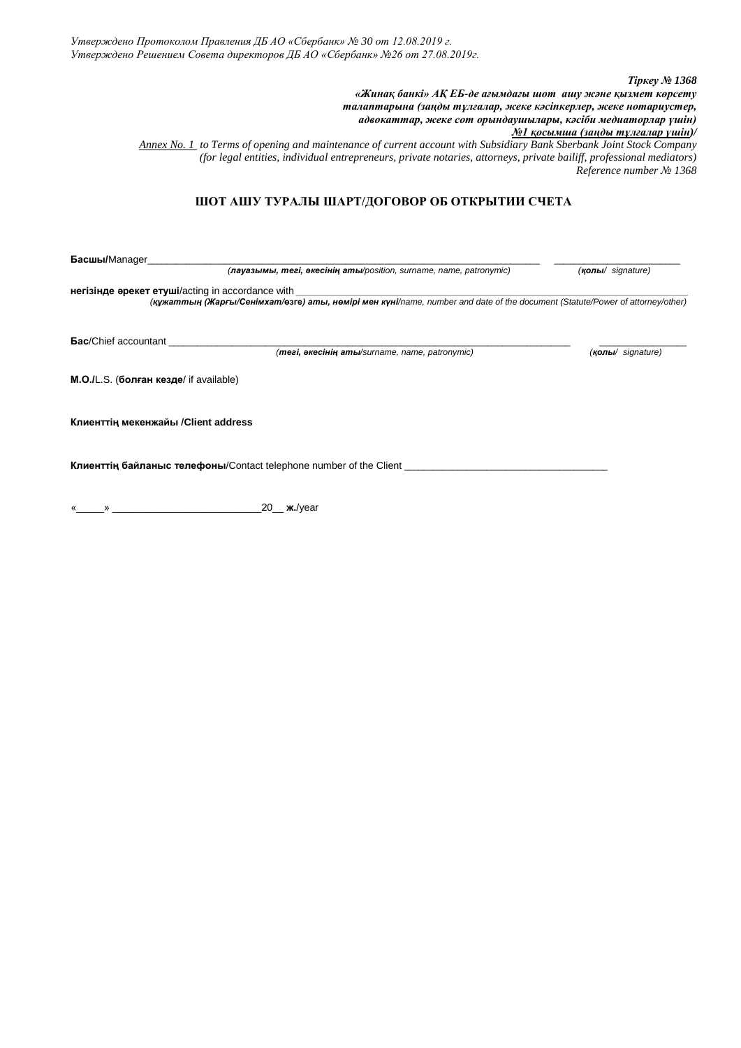*Утверждено Протоколом Правления ДБ АО «Сбербанк» № 30 от 12.08.2019 г. Утверждено Решением Совета директоров ДБ АО «Сбербанк» №26 от 27.08.2019г.*

*Тіркеу № 1368 «Жинақ банкі» АҚ ЕБ-де ағымдағы шот ашу және қызмет көрсету талаптарына (заңды тұлғалар, жеке кәсіпкерлер, жеке нотариустер, адвокаттар, жеке сот орындаушылары, кәсіби медиаторлар үшін) №1 қосымша (заңды тұлғалар үшін)/ Annex No. 1 to Terms of opening and maintenance of current account with Subsidiary Bank Sberbank Joint Stock Company (for legal entities, individual entrepreneurs, private notaries, attorneys, private bailiff, professional mediators) Reference number № 1368*  **ШОТ АШУ ТУРАЛЫ ШАРТ/ДОГОВОР ОБ ОТКРЫТИИ СЧЕТА Басшы/**Manager\_\_\_\_\_\_\_\_\_\_\_\_\_\_\_\_\_\_\_\_\_\_\_\_\_\_\_\_\_\_\_\_\_\_\_\_\_\_\_\_\_\_\_\_\_\_\_\_\_\_\_\_\_\_\_\_\_\_\_\_\_\_\_\_\_\_\_\_\_\_\_\_\_\_\_\_\_\_\_\_\_ \_\_\_\_\_\_\_\_\_\_\_\_\_\_\_\_\_\_\_\_\_\_\_\_\_\_  *(лауазымы, тегі, әкесінің аты/position, surname, name, patronymic) (қолы/ [signature\)](http://www.multitran.ru/c/m.exe?t=1019287_1_2&s1=%EC%E5%F1%F2%EE%20%EF%EE%E4%EF%E8%F1%E8)* **негізінде әрекет етуші**/acting in accordance with *\_\_\_\_\_\_\_\_\_\_\_\_\_\_\_\_\_\_\_\_\_\_\_\_\_\_\_\_\_\_\_\_\_\_\_\_\_\_\_\_\_\_\_\_\_\_\_\_\_\_\_\_\_\_\_\_\_\_\_\_\_\_\_\_\_\_\_\_\_\_\_\_\_\_\_\_\_\_\_\_\_ (құжаттың (Жарғы/Сенімхат/***өзге***) аты, нөмірі мен күні/name, number and date of the document (Statute/Power of attorney/other)* **Бас**/Chief accountant \_\_\_\_\_\_\_\_\_\_\_\_\_\_\_\_\_\_\_\_\_\_\_\_\_\_\_\_\_\_\_\_\_\_\_\_\_\_\_\_\_\_\_\_\_\_\_\_\_\_\_\_\_\_\_\_\_\_\_\_\_\_\_\_\_\_\_\_\_\_\_\_\_\_\_\_\_\_\_\_\_\_\_ \_\_\_\_\_\_\_\_\_\_\_\_\_\_\_\_\_\_  *(тегі, әкесінің аты/surname, name, patronymic) (қолы/ [signature\)](http://www.multitran.ru/c/m.exe?t=1019287_1_2&s1=%EC%E5%F1%F2%EE%20%EF%EE%E4%EF%E8%F1%E8)* **М.О./**L.S. (**болған кезде**/ if available) **Клиенттің мекенжайы /Client address Клиенттің байланыс телефоны**/Contact telephone number of the Client \_\_\_\_\_\_\_\_\_\_\_\_\_\_\_\_\_\_\_\_\_\_\_\_\_\_\_\_\_\_\_\_\_\_\_\_\_\_\_\_\_\_

 $20$ <sub>—</sub> ж./year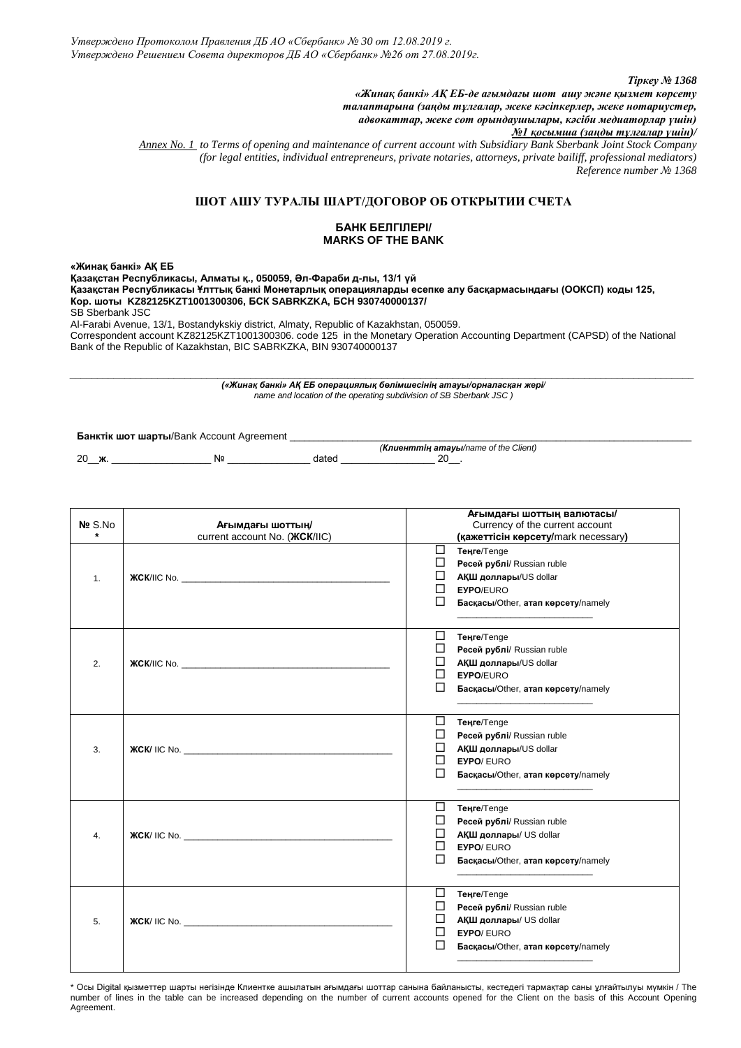*Тіркеу № 1368*

*«Жинақ банкі» АҚ ЕБ-де ағымдағы шот ашу және қызмет көрсету талаптарына (заңды тұлғалар, жеке кәсіпкерлер, жеке нотариустер, адвокаттар, жеке сот орындаушылары, кәсіби медиаторлар үшін)* 

*№1 қосымша (заңды тұлғалар үшін)/*

*Annex No. 1 to Terms of opening and maintenance of current account with Subsidiary Bank Sberbank Joint Stock Company (for legal entities, individual entrepreneurs, private notaries, attorneys, private bailiff, professional mediators) Reference number № 1368* 

# **ШОТ АШУ ТУРАЛЫ ШАРТ/ДОГОВОР ОБ ОТКРЫТИИ СЧЕТА**

#### **БАНК БЕЛГІЛЕРІ/ MARKS OF THE BANK**

**«Жинақ банкі» АҚ ЕБ**

**Қазақстан Республикасы, Алматы қ., 050059, Әл-Фараби д-лы, 13/1 үй Қазақстан Республикасы Ұлттық банкі Монетарлық операцияларды есепке алу басқармасындағы (ООКСП) коды 125, Кор. шоты KZ82125KZT1001300306, БСК SABRKZKA, БСН 930740000137/** SB Sberbank JSC Al-Farabi Avenue, 13/1, Bostandykskiy district, Almaty, Republic of Kazakhstan, 050059.

Correspondent account KZ82125KZT1001300306. code 125 in the Monetary Operation Accounting Department (CAPSD) of the National Bank of the Republic of Kazakhstan, BIC SABRKZKA, BIN 930740000137

*\_\_\_\_\_\_\_\_\_\_\_\_\_\_\_\_\_\_\_\_\_\_\_\_\_\_\_\_\_\_\_\_\_\_\_\_\_\_\_\_\_\_\_\_\_\_\_\_\_\_\_\_\_\_\_\_\_\_\_\_\_\_\_\_\_\_\_\_\_\_\_\_\_\_\_\_\_\_\_\_\_\_\_\_\_\_\_\_\_\_\_\_\_\_\_\_\_\_\_\_\_\_\_\_\_\_\_\_\_\_\_\_\_\_ («Жинақ банкі» АҚ ЕБ операциялық бөлімшесінің атауы/орналасқан жері/ name and location of the operating subdivision of SB Sberbank JSC )*

**Банктік шот шарты**/Bank Account Agreement \_\_\_\_\_\_\_\_\_\_\_\_\_\_\_\_\_\_\_\_\_\_\_\_\_\_\_\_\_\_\_\_\_\_\_\_\_\_\_\_\_\_\_\_\_\_\_\_\_\_\_\_\_\_\_\_\_\_\_\_\_\_\_\_\_\_\_\_\_\_\_\_\_\_\_\_\_\_\_\_\_\_\_

 $N<sup>o</sup>$  dated  $\blacksquare$ 

 *(Клиенттің атауы/name of the Client)*

| No S.No<br>$\star$ | Ағымдағы шоттың/<br>current account No. ( <b><i>KCK/IIC</i></b> )                                                                                                                                                                  |                       | Ағымдағы шоттың валютасы/<br>Currency of the current account<br>(қажеттісін көрсету/mark necessary)                                  |
|--------------------|------------------------------------------------------------------------------------------------------------------------------------------------------------------------------------------------------------------------------------|-----------------------|--------------------------------------------------------------------------------------------------------------------------------------|
| 1.                 |                                                                                                                                                                                                                                    | ⊔<br>□<br>ப<br>⊔<br>□ | <b>Теңге/Tenge</b><br>Ресей рублі/ Russian ruble<br><b>АҚШ доллары/US dollar</b><br>EYPO/EURO<br>Басқасы/Other, атап көрсету/namely  |
| 2.                 |                                                                                                                                                                                                                                    | ப<br>□<br>LI          | <b>Теңге/Tenge</b><br>Ресей рублі/ Russian ruble<br><b>АҚШ доллары/US dollar</b><br>EYPO/EURO<br>Басқасы/Other, атап көрсету/namely  |
| 3.                 |                                                                                                                                                                                                                                    | □<br>П                | <b>Теңге/Tenge</b><br>Ресей рублі/ Russian ruble<br><b>АҚШ доллары/US dollar</b><br>EYPO/EURO<br>Басқасы/Other, атап көрсету/namely  |
| $\overline{4}$ .   | <b>XCK/IIC No.</b> The state of the state of the state of the state of the state of the state of the state of the state of the state of the state of the state of the state of the state of the state of the state of the state of | □<br>□<br>ப           | <b>Теңге/Tenge</b><br>Ресей рублі/ Russian ruble<br><b>АҚШ доллары/ US dollar</b><br>EYPO/EURO<br>Басқасы/Other, атап көрсету/namely |
| 5.                 | <b>XCK</b> / IIC No.                                                                                                                                                                                                               | □<br>ப                | <b>Теңге/Tenge</b><br>Ресей рублі/ Russian ruble<br><b>АҚШ доллары/ US dollar</b><br>EYPO/EURO<br>Басқасы/Other, атап көрсету/namely |

\* Осы Digital қызметтер шарты негізінде Клиентке ашылатын ағымдағы шоттар санына байланысты, кестедегі тармақтар саны ұлғайтылуы мүмкін / The number of lines in the table can be increased depending on the number of current accounts opened for the Client on the basis of this Account Opening Agreement.